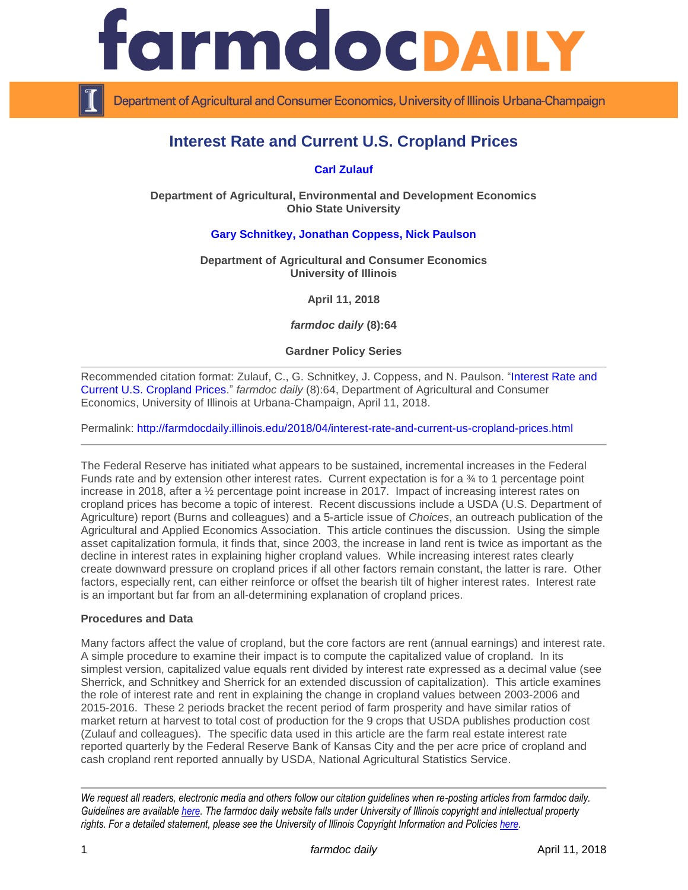

Department of Agricultural and Consumer Economics, University of Illinois Urbana-Champaign

# **Interest Rate and Current U.S. Cropland Prices**

**[Carl Zulauf](http://aede.osu.edu/our-people/carl-zulauf)**

**Department of Agricultural, Environmental and Development Economics Ohio State University**

# **[Gary Schnitkey,](http://farmdoc.illinois.edu/schnitkey) [Jonathan Coppess,](http://farmdoc.illinois.edu/coppess) [Nick Paulson](http://farmdoc.illinois.edu/paulson)**

**Department of Agricultural and Consumer Economics University of Illinois**

**April 11, 2018**

*farmdoc daily* **(8):64**

## **Gardner Policy Series**

Recommended citation format: Zulauf, C., G. Schnitkey, J. Coppess, and N. Paulson. ["Interest Rate and](http://farmdocdaily.illinois.edu/2018/04/interest-rate-and-current-us-cropland-prices.html)  [Current U.S. Cropland Prices.](http://farmdocdaily.illinois.edu/2018/04/interest-rate-and-current-us-cropland-prices.html)" *farmdoc daily* (8):64, Department of Agricultural and Consumer Economics, University of Illinois at Urbana-Champaign, April 11, 2018.

Permalink:<http://farmdocdaily.illinois.edu/2018/04/interest-rate-and-current-us-cropland-prices.html>

The Federal Reserve has initiated what appears to be sustained, incremental increases in the Federal Funds rate and by extension other interest rates. Current expectation is for a  $\frac{3}{4}$  to 1 percentage point increase in 2018, after a ½ percentage point increase in 2017. Impact of increasing interest rates on cropland prices has become a topic of interest. Recent discussions include a USDA (U.S. Department of Agriculture) report (Burns and colleagues) and a 5-article issue of *Choices*, an outreach publication of the Agricultural and Applied Economics Association. This article continues the discussion. Using the simple asset capitalization formula, it finds that, since 2003, the increase in land rent is twice as important as the decline in interest rates in explaining higher cropland values. While increasing interest rates clearly create downward pressure on cropland prices if all other factors remain constant, the latter is rare. Other factors, especially rent, can either reinforce or offset the bearish tilt of higher interest rates. Interest rate is an important but far from an all-determining explanation of cropland prices.

## **Procedures and Data**

Many factors affect the value of cropland, but the core factors are rent (annual earnings) and interest rate. A simple procedure to examine their impact is to compute the capitalized value of cropland. In its simplest version, capitalized value equals rent divided by interest rate expressed as a decimal value (see Sherrick, and Schnitkey and Sherrick for an extended discussion of capitalization). This article examines the role of interest rate and rent in explaining the change in cropland values between 2003-2006 and 2015-2016. These 2 periods bracket the recent period of farm prosperity and have similar ratios of market return at harvest to total cost of production for the 9 crops that USDA publishes production cost (Zulauf and colleagues). The specific data used in this article are the farm real estate interest rate reported quarterly by the Federal Reserve Bank of Kansas City and the per acre price of cropland and cash cropland rent reported annually by USDA, National Agricultural Statistics Service.

*We request all readers, electronic media and others follow our citation guidelines when re-posting articles from farmdoc daily. Guidelines are available [here.](http://farmdocdaily.illinois.edu/citationguide.html) The farmdoc daily website falls under University of Illinois copyright and intellectual property rights. For a detailed statement, please see the University of Illinois Copyright Information and Policies [here.](http://www.cio.illinois.edu/policies/copyright/)*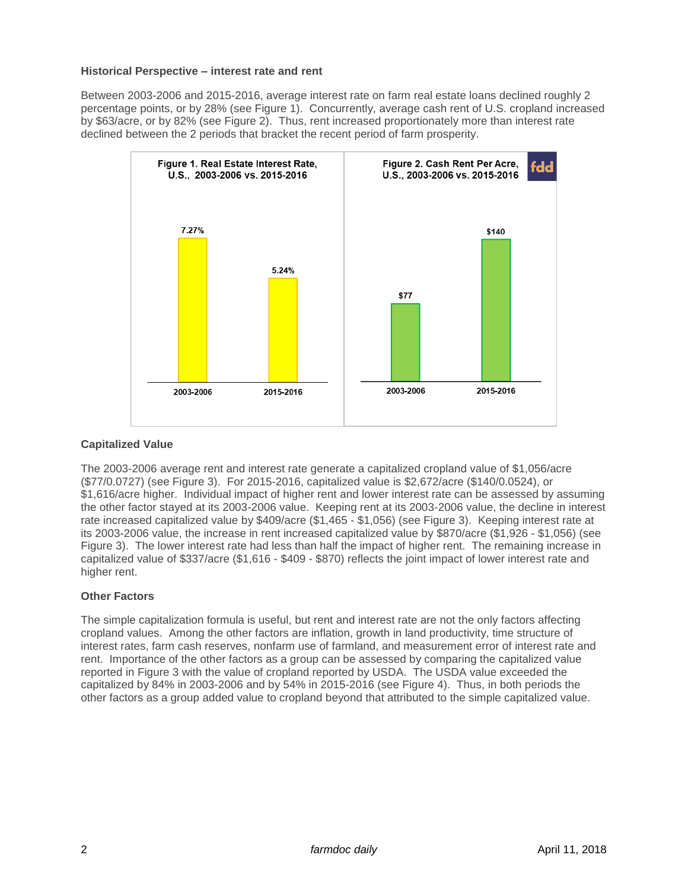#### **Historical Perspective – interest rate and rent**

Between 2003-2006 and 2015-2016, average interest rate on farm real estate loans declined roughly 2 percentage points, or by 28% (see Figure 1). Concurrently, average cash rent of U.S. cropland increased by \$63/acre, or by 82% (see Figure 2). Thus, rent increased proportionately more than interest rate declined between the 2 periods that bracket the recent period of farm prosperity.



### **Capitalized Value**

The 2003-2006 average rent and interest rate generate a capitalized cropland value of \$1,056/acre (\$77/0.0727) (see Figure 3). For 2015-2016, capitalized value is \$2,672/acre (\$140/0.0524), or \$1,616/acre higher. Individual impact of higher rent and lower interest rate can be assessed by assuming the other factor stayed at its 2003-2006 value. Keeping rent at its 2003-2006 value, the decline in interest rate increased capitalized value by \$409/acre (\$1,465 - \$1,056) (see Figure 3). Keeping interest rate at its 2003-2006 value, the increase in rent increased capitalized value by \$870/acre (\$1,926 - \$1,056) (see Figure 3). The lower interest rate had less than half the impact of higher rent. The remaining increase in capitalized value of \$337/acre (\$1,616 - \$409 - \$870) reflects the joint impact of lower interest rate and higher rent.

# **Other Factors**

The simple capitalization formula is useful, but rent and interest rate are not the only factors affecting cropland values. Among the other factors are inflation, growth in land productivity, time structure of interest rates, farm cash reserves, nonfarm use of farmland, and measurement error of interest rate and rent. Importance of the other factors as a group can be assessed by comparing the capitalized value reported in Figure 3 with the value of cropland reported by USDA. The USDA value exceeded the capitalized by 84% in 2003-2006 and by 54% in 2015-2016 (see Figure 4). Thus, in both periods the other factors as a group added value to cropland beyond that attributed to the simple capitalized value.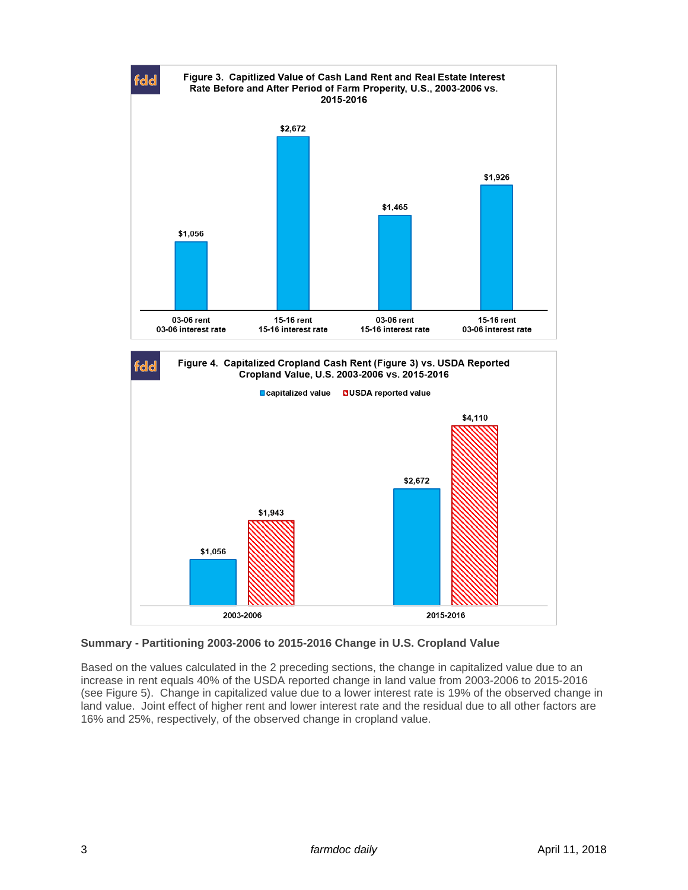

# **Summary - Partitioning 2003-2006 to 2015-2016 Change in U.S. Cropland Value**

Based on the values calculated in the 2 preceding sections, the change in capitalized value due to an increase in rent equals 40% of the USDA reported change in land value from 2003-2006 to 2015-2016 (see Figure 5). Change in capitalized value due to a lower interest rate is 19% of the observed change in land value. Joint effect of higher rent and lower interest rate and the residual due to all other factors are 16% and 25%, respectively, of the observed change in cropland value.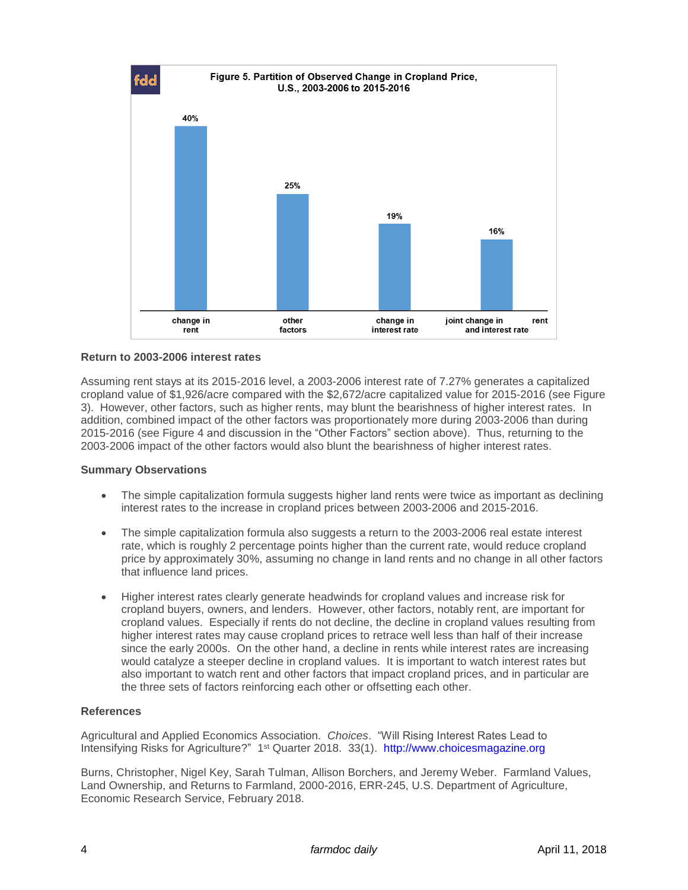

## **Return to 2003-2006 interest rates**

Assuming rent stays at its 2015-2016 level, a 2003-2006 interest rate of 7.27% generates a capitalized cropland value of \$1,926/acre compared with the \$2,672/acre capitalized value for 2015-2016 (see Figure 3). However, other factors, such as higher rents, may blunt the bearishness of higher interest rates. In addition, combined impact of the other factors was proportionately more during 2003-2006 than during 2015-2016 (see Figure 4 and discussion in the "Other Factors" section above). Thus, returning to the 2003-2006 impact of the other factors would also blunt the bearishness of higher interest rates.

#### **Summary Observations**

- The simple capitalization formula suggests higher land rents were twice as important as declining interest rates to the increase in cropland prices between 2003-2006 and 2015-2016.
- The simple capitalization formula also suggests a return to the 2003-2006 real estate interest rate, which is roughly 2 percentage points higher than the current rate, would reduce cropland price by approximately 30%, assuming no change in land rents and no change in all other factors that influence land prices.
- Higher interest rates clearly generate headwinds for cropland values and increase risk for cropland buyers, owners, and lenders. However, other factors, notably rent, are important for cropland values. Especially if rents do not decline, the decline in cropland values resulting from higher interest rates may cause cropland prices to retrace well less than half of their increase since the early 2000s. On the other hand, a decline in rents while interest rates are increasing would catalyze a steeper decline in cropland values. It is important to watch interest rates but also important to watch rent and other factors that impact cropland prices, and in particular are the three sets of factors reinforcing each other or offsetting each other.

#### **References**

Agricultural and Applied Economics Association. *Choices*. "Will Rising Interest Rates Lead to Intensifying Risks for Agriculture?" 1<sup>st</sup> Quarter 2018. 33(1). [http://www.choicesmagazine.org](http://www.choicesmagazine.org/)

Burns, Christopher, Nigel Key, Sarah Tulman, Allison Borchers, and Jeremy Weber. Farmland Values, Land Ownership, and Returns to Farmland, 2000-2016, ERR-245, U.S. Department of Agriculture, Economic Research Service, February 2018.